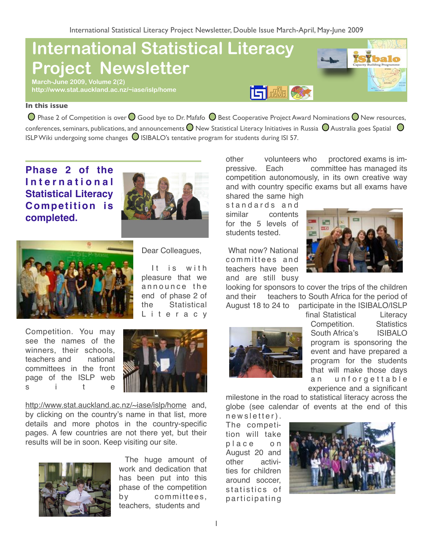# **International Statistical Literacy Project Newsletter**

**March-June 2009, Volume 2(2) http://www.stat.auckland.ac.nz/~iase/islp/home** 

## 日國国家

#### **In this issue**

 $\bullet$  Phase 2 of Competition is over  $\bullet$  Good bye to Dr. Mafafo  $\bullet$  Best Cooperative Project Award Nominations  $\bullet$  New resources, conferences, seminars, publications, and announcements  $\bigcirc$  New Statistical Literacy Initiatives in Russia  $\bigcirc$  Australia goes Spatial  $\bigcirc$ ISLP Wiki undergoing some changes  $\bigcirc$  ISIBALO's tentative program for students during ISI 57.

**Phase 2 of the I n t e r n a t i o n a l Statistical Literacy Competition is completed.**





Dear Colleagues,

It is with pleasure that we announce the end of phase 2 of the Statistical L i t e r a c y

Competition. You may see the names of the winners, their schools, teachers and national committees in the front page of the ISLP web s i t e



<http://www.stat.auckland.ac.nz/~iase/islp/home> and, by clicking on the country's name in that list, more details and more photos in the country-specific pages. A few countries are not there yet, but their results will be in soon. Keep visiting our site.



 The huge amount of work and dedication that has been put into this phase of the competition by committees, teachers, students and

other volunteers who proctored exams is impressive. Each committee has managed its competition autonomously, in its own creative way and with country specific exams but all exams have shared the same high

standards and similar contents for the 5 levels of students tested.

 What now? National committees and teachers have been and are still busy

looking for sponsors to cover the trips of the children and their teachers to South Africa for the period of August 18 to 24 to participate in the ISIBALO/ISLP



final Statistical Literacy Competition. Statistics South Africa's ISIBALO program is sponsoring the event and have prepared a program for the students that will make those days an unforgettable experience and a significant

milestone in the road to statistical literacy across the globe (see calendar of events at the end of this n e w s l etter).

The competition will take place on August 20 and other activities for children around soccer, statistics of p articipating

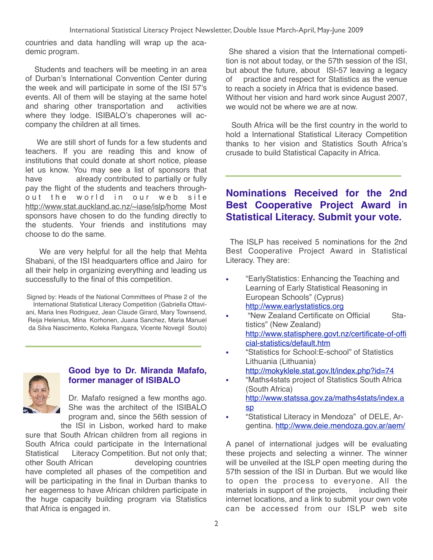countries and data handling will wrap up the academic program.

 Students and teachers will be meeting in an area of Durban's International Convention Center during the week and will participate in some of the ISI 57's events. All of them will be staying at the same hotel and sharing other transportation and activities where they lodge. ISIBALO's chaperones will accompany the children at all times.

 We are still short of funds for a few students and teachers. If you are reading this and know of institutions that could donate at short notice, please let us know. You may see a list of sponsors that have already contributed to partially or fully pay the flight of the students and teachers throughout the world in our web site <http://www.stat.auckland.ac.nz/~iase/islp/home> Most sponsors have chosen to do the funding directly to the students. Your friends and institutions may choose to do the same.

 We are very helpful for all the help that Mehta Shabani, of the ISI headquarters office and Jairo for all their help in organizing everything and leading us successfully to the final of this competition.

Signed by: Heads of the National Committees of Phase 2 of the International Statistical Literacy Competition (Gabriella Ottaviani, Maria Ines Rodriguez, Jean Claude Girard, Mary Townsend, Reija Helenius, Mina Korhonen, Juana Sanchez, Maria Manuel da Silva Nascimento, Koleka Rangaza, Vicente Novegil Souto)



#### **Good bye to Dr. Miranda Mafafo, former manager of ISIBALO**

Dr. Mafafo resigned a few months ago. She was the architect of the ISIBALO program and, since the 56th session of

the ISI in Lisbon, worked hard to make sure that South African children from all regions in South Africa could participate in the International Statistical Literacy Competition. But not only that; other South African developing countries have completed all phases of the competition and will be participating in the final in Durban thanks to her eagerness to have African children participate in the huge capacity building program via Statistics that Africa is engaged in.

 She shared a vision that the International competition is not about today, or the 57th session of the ISI, but about the future, about ISI-57 leaving a legacy of practice and respect for Statistics as the venue to reach a society in Africa that is evidence based. Without her vision and hard work since August 2007, we would not be where we are at now.

 South Africa will be the first country in the world to hold a International Statistical Literacy Competition thanks to her vision and Statistics South Africa's crusade to build Statistical Capacity in Africa.

## **Nominations Received for the 2nd Best Cooperative Project Award in Statistical Literacy. Submit your vote.**

The ISLP has received 5 nominations for the 2nd Best Cooperative Project Award in Statistical Literacy. They are:

- **•** "EarlyStatistics: Enhancing the Teaching and Learning of Early Statistical Reasoning in European Schools" (Cyprus) <http://www.earlystatistics.org>
- **•** "New Zealand Certificate on Official Statistics" (New Zealand) [http://www.statisphere.govt.nz/certificate-of-offi](http://www.statisphere.govt.nz/certificate-of-official-statistics/default.htm) [cial-statistics/default.htm](http://www.statisphere.govt.nz/certificate-of-official-statistics/default.htm) **•** "Statistics for School:E-school" of Statistics
- Lithuania (Lithuania) [http://mokyklele.stat.gov.lt/index.php?id=74](http://%22)
- **•** "Maths4stats project of Statistics South Africa (South Africa) [http://www.statssa.gov.za/maths4stats/index.a](http://www.statssa.gov.za/maths4stats/index.asp) [sp](http://www.statssa.gov.za/maths4stats/index.asp)
- **•** "Statistical Literacy in Mendoza" of DELE, Argentina. <http://www.deie.mendoza.gov.ar/aem/>

A panel of international judges will be evaluating these projects and selecting a winner. The winner will be unveiled at the ISLP open meeting during the 57th session of the ISI in Durban. But we would like to open the process to everyone. All the materials in support of the projects, including their internet locations, and a link to submit your own vote can be accessed from our ISLP web site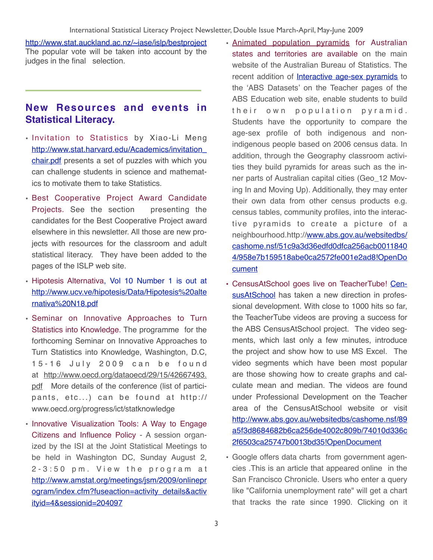<http://www.stat.auckland.ac.nz/~iase/islp/bestproject> The popular vote will be taken into account by the judges in the final selection.

## **New Resources and events in Statistical Literacy.**

- Invitation to Statistics by Xiao-Li Meng [http://www.stat.harvard.edu/Academics/invitation\\_](http://www.stat.harvard.edu/Academics/invitation_chair.pdf) [chair.pdf](http://www.stat.harvard.edu/Academics/invitation_chair.pdf) presents a set of puzzles with which you can challenge students in science and mathematics to motivate them to take Statistics.
- Best Cooperative Project Award Candidate Projects. See the section presenting the candidates for the Best Cooperative Project award elsewhere in this newsletter. All those are new projects with resources for the classroom and adult statistical literacy. They have been added to the pages of the ISLP web site.
- Hipotesis Alternativa, Vol 10 Number 1 is out at [http://www.ucv.ve/hipotesis/Data/Hipotesis%20alte](http://www.ucv.ve/hipotesis/Data/Hipotesis%20alternativa%20N18.pdf) [rnativa%20N18.pdf](http://www.ucv.ve/hipotesis/Data/Hipotesis%20alternativa%20N18.pdf)
- Seminar on Innovative Approaches to Turn Statistics into Knowledge. The programme for the forthcoming Seminar on Innovative Approaches to Turn Statistics into Knowledge, Washington, D.C, 15-16 July 2009 can be found at [http://www.oecd.org/dataoecd/29/15/42667493.](http://www.oecd.org/dataoecd/29/15/42667493.pdf) [pdf](http://www.oecd.org/dataoecd/29/15/42667493.pdf) More details of the conference (list of participants, etc...) can be found at http:// [www.oecd.org/progress/ict/statknowledge](http://www.oecd.org/progress/ict/statknowledge)
- Innovative Visualization Tools: A Way to Engage Citizens and Influence Policy - A session organized by the ISI at the Joint Statistical Meetings to be held in Washington DC, Sunday August 2, 2-3:50 pm. View the program at [http://www.amstat.org/meetings/jsm/2009/onlinepr](http://www.amstat.org/meetings/jsm/2009/onlineprogram/index.cfm?fuseaction=activity_details&activityid=4&sessionid=204097) [ogram/index.cfm?fuseaction=activity\\_details&activ](http://www.amstat.org/meetings/jsm/2009/onlineprogram/index.cfm?fuseaction=activity_details&activityid=4&sessionid=204097) [ityid=4&sessionid=204097](http://www.amstat.org/meetings/jsm/2009/onlineprogram/index.cfm?fuseaction=activity_details&activityid=4&sessionid=204097)
- [Animated population pyramids](http://www.abs.gov.au/websitedbs/d3310114.nsf/home/population%20pyramid%20preview) for Australian states and territories are available on the main website of the Australian Bureau of Statistics. The recent addition of [Interactive age-sex pyramids](http://www.abs.gov.au/websitedbs/cashome.nsf/51c9a3d36edfd0dfca256acb00118404/958e7b159518abe0ca2572fe001e2ad8!OpenDocument) to the 'ABS Datasets' on the Teacher pages of the ABS Education web site, enable students to build their own population pyramid. Students have the opportunity to compare the age-sex profile of both indigenous and nonindigenous people based on 2006 census data. In addition, through the Geography classroom activities they build pyramids for areas such as the inner parts of Australian capital cities (Geo\_12 Moving In and Moving Up). Additionally, they may enter their own data from other census products e.g. census tables, community profiles, into the interactive pyramids to create a picture of a neighbourhood.http://[www.abs.gov.au/websitedbs/](http://www.abs.gov.au/websitedbs/cashome.nsf/51c9a3d36edfd0dfca256acb00118404/958e7b159518abe0ca2572fe001e2ad8!OpenDocument) [cashome.nsf/51c9a3d36edfd0dfca256acb0011840](http://www.abs.gov.au/websitedbs/cashome.nsf/51c9a3d36edfd0dfca256acb00118404/958e7b159518abe0ca2572fe001e2ad8!OpenDocument) [4/958e7b159518abe0ca2572fe001e2ad8!OpenDo](http://www.abs.gov.au/websitedbs/cashome.nsf/51c9a3d36edfd0dfca256acb00118404/958e7b159518abe0ca2572fe001e2ad8!OpenDocument) [cument](http://www.abs.gov.au/websitedbs/cashome.nsf/51c9a3d36edfd0dfca256acb00118404/958e7b159518abe0ca2572fe001e2ad8!OpenDocument)
- CensusAtSchool goes live on TeacherTube! [Cen](http://www.abs.gov.au/websitedbs/cashome.nsf/Home/Home)[susAtSchool](http://www.abs.gov.au/websitedbs/cashome.nsf/Home/Home) has taken a new direction in professional development. With close to 1000 hits so far, the TeacherTube videos are proving a success for the ABS CensusAtSchool project. The video segments, which last only a few minutes, introduce the project and show how to use MS Excel. The video segments which have been most popular are those showing how to create graphs and calculate mean and median. The videos are found under Professional Development on the Teacher area of the CensusAtSchool website or visit [http://www.abs.gov.au/websitedbs/cashome.nsf/89](http://%22) [a5f3d8684682b6ca256de4002c809b/74010d336c](http://%22) [2f6503ca25747b0013bd35!OpenDocument](http://%22)
- Google offers data charts from government agencies .This is an article that appeared online in the San Francisco Chronicle. Users who enter a query like "California unemployment rate" will get a chart that tracks the rate since 1990. Clicking on it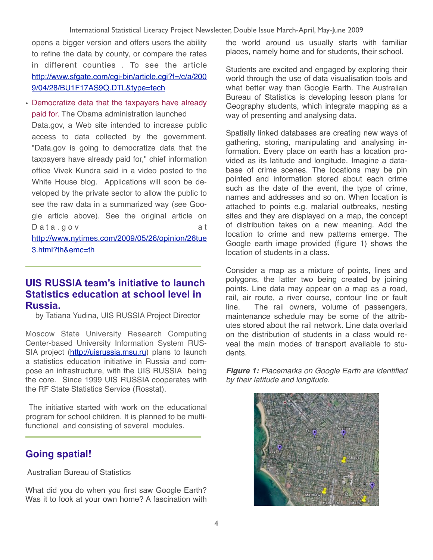opens a bigger version and offers users the ability to refine the data by county, or compare the rates in different counties . To see the article [http://www.sfgate.com/cgi-bin/article.cgi?f=/c/a/200](http://www.sfgate.com/cgi-bin/article.cgi?f=/c/a/2009/04/28/BU1F17AS9Q.DTL&type=tech) [9/04/28/BU1F17AS9Q.DTL&type=tech](http://www.sfgate.com/cgi-bin/article.cgi?f=/c/a/2009/04/28/BU1F17AS9Q.DTL&type=tech)

• Democratize data that the taxpayers have already paid for. The Obama administration launched Data.gov, a Web site intended to increase public access to data collected by the government. "Data.gov is going to democratize data that the taxpayers have already paid for," chief information office Vivek Kundra said in a video posted to the White House blog. Applications will soon be developed by the private sector to allow the public to see the raw data in a summarized way (see Google article above). See the original article on D a t a . q o v a t [http://www.nytimes.com/2009/05/26/opinion/26tue](http://www.nytimes.com/2009/05/26/opinion/26tue3.html?th&emc=th) [3.html?th&emc=th](http://www.nytimes.com/2009/05/26/opinion/26tue3.html?th&emc=th)

#### **UIS RUSSIA team's initiative to launch Statistics education at school level in Russia.**

by Tatiana Yudina, UIS RUSSIA Project Director

Moscow State University Research Computing Center-based University Information System RUS-SIA project [\(http://uisrussia.msu.ru\)](http://uisrussia.msu.ru) plans to launch a statistics education initiative in Russia and compose an infrastructure, with the UIS RUSSIA being the core. Since 1999 UIS RUSSIA cooperates with the RF State Statistics Service (Rosstat).

 The initiative started with work on the educational program for school children. It is planned to be multifunctional and consisting of several modules.

## **Going spatial!**

Australian Bureau of Statistics

What did you do when you first saw Google Earth? Was it to look at your own home? A fascination with the world around us usually starts with familiar places, namely home and for students, their school.

Students are excited and engaged by exploring their world through the use of data visualisation tools and what better way than Google Earth. The Australian Bureau of Statistics is developing lesson plans for Geography students, which integrate mapping as a way of presenting and analysing data.

Spatially linked databases are creating new ways of gathering, storing, manipulating and analysing information. Every place on earth has a location provided as its latitude and longitude. Imagine a database of crime scenes. The locations may be pin pointed and information stored about each crime such as the date of the event, the type of crime, names and addresses and so on. When location is attached to points e.g. malarial outbreaks, nesting sites and they are displayed on a map, the concept of distribution takes on a new meaning. Add the location to crime and new patterns emerge. The Google earth image provided (figure 1) shows the location of students in a class.

Consider a map as a mixture of points, lines and polygons, the latter two being created by joining points. Line data may appear on a map as a road, rail, air route, a river course, contour line or fault line. The rail owners, volume of passengers, maintenance schedule may be some of the attributes stored about the rail network. Line data overlaid on the distribution of students in a class would reveal the main modes of transport available to students.

*Figure 1: Placemarks on Google Earth are identified by their latitude and longitude.*

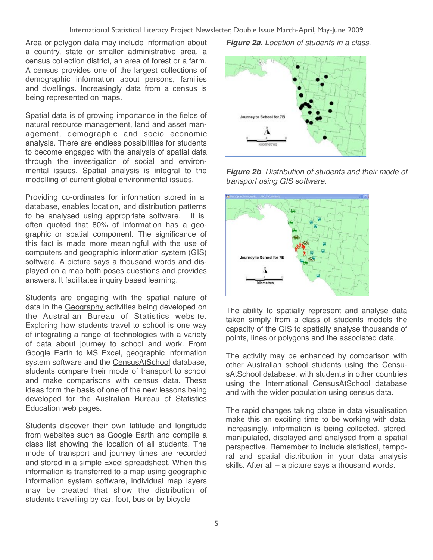Area or polygon data may include information about a country, state or smaller administrative area, a census collection district, an area of forest or a farm. A census provides one of the largest collections of demographic information about persons, families and dwellings. Increasingly data from a census is being represented on maps.

Spatial data is of growing importance in the fields of natural resource management, land and asset management, demographic and socio economic analysis. There are endless possibilities for students to become engaged with the analysis of spatial data through the investigation of social and environmental issues. Spatial analysis is integral to the modelling of current global environmental issues.

Providing co-ordinates for information stored in a database, enables location, and distribution patterns to be analysed using appropriate software. It is often quoted that 80% of information has a geographic or spatial component. The significance of this fact is made more meaningful with the use of computers and geographic information system (GIS) software. A picture says a thousand words and displayed on a map both poses questions and provides answers. It facilitates inquiry based learning.

Students are engaging with the spatial nature of data in the [Geography](http://www.abs.gov.au/websitedbs/cashome.nsf/51c9a3d36edfd0dfca256acb00118404/6a5673942bc2674bca2572fe001e2ad2!OpenDocument) activities being developed on the Australian Bureau of Statistics website. Exploring how students travel to school is one way of integrating a range of technologies with a variety of data about journey to school and work. From Google Earth to MS Excel, geographic information system software and the [CensusAtSchool](http://www.cas.abs.gov.au/cgi-local/cassampler.pl) database, students compare their mode of transport to school and make comparisons with census data. These ideas form the basis of one of the new lessons being developed for the Australian Bureau of Statistics Education web pages.

Students discover their own latitude and longitude from websites such as Google Earth and compile a class list showing the location of all students. The mode of transport and journey times are recorded and stored in a simple Excel spreadsheet. When this information is transferred to a map using geographic information system software, individual map layers may be created that show the distribution of students travelling by car, foot, bus or by bicycle

*Figure 2a. Location of students in a class*.



*Figure 2b. Distribution of students and their mode of transport using GIS software.*



The ability to spatially represent and analyse data taken simply from a class of students models the capacity of the GIS to spatially analyse thousands of points, lines or polygons and the associated data.

The activity may be enhanced by comparison with other Australian school students using the CensusAtSchool database, with students in other countries using the International CensusAtSchool database and with the wider population using census data.

The rapid changes taking place in data visualisation make this an exciting time to be working with data. Increasingly, information is being collected, stored, manipulated, displayed and analysed from a spatial perspective. Remember to include statistical, temporal and spatial distribution in your data analysis skills. After all – a picture says a thousand words.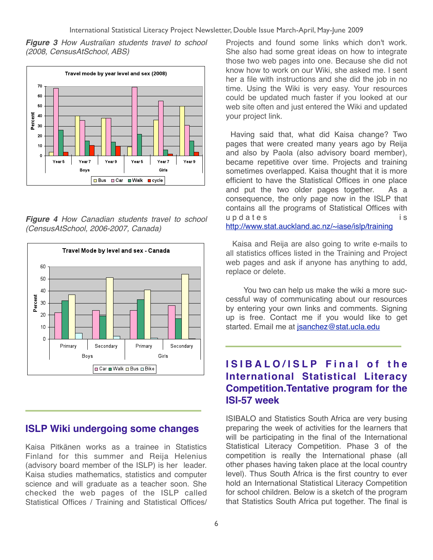*Figure 3 How Australian students travel to school (2008, CensusAtSchool, ABS)*



*Figure 4 How Canadian students travel to school (CensusAtSchool, 2006-2007, Canada)*



### **ISLP Wiki undergoing some changes**

Kaisa Pitkänen works as a trainee in Statistics Finland for this summer and Reija Helenius (advisory board member of the ISLP) is her leader. Kaisa studies mathematics, statistics and computer science and will graduate as a teacher soon. She checked the web pages of the ISLP called Statistical Offices / Training and Statistical Offices/

Projects and found some links which don't work. She also had some great ideas on how to integrate those two web pages into one. Because she did not know how to work on our Wiki, she asked me. I sent her a file with instructions and she did the job in no time. Using the Wiki is very easy. Your resources could be updated much faster if you looked at our web site often and just entered the Wiki and updated your project link.

 Having said that, what did Kaisa change? Two pages that were created many years ago by Reija and also by Paola (also advisory board member), became repetitive over time. Projects and training sometimes overlapped. Kaisa thought that it is more efficient to have the Statistical Offices in one place and put the two older pages together. As a consequence, the only page now in the ISLP that contains all the programs of Statistical Offices with u p d a t e s i s i s i s i s s i s i s s i s s i s s i s s i s s i s s i s s i s s i s s i s s i s s i s s i <http://www.stat.auckland.ac.nz/~iase/islp/training>

 Kaisa and Reija are also going to write e-mails to all statistics offices listed in the Training and Project web pages and ask if anyone has anything to add, replace or delete.

 You two can help us make the wiki a more successful way of communicating about our resources by entering your own links and comments. Signing up is free. Contact me if you would like to get started. Email me at [jsanchez@stat.ucla.edu](mailto:jsanchez@stat.ucla.edu)

## **ISIBALO/ISLP Final of the International Statistical Literacy Competition.Tentative program for the ISI-57 week**

ISIBALO and Statistics South Africa are very busing preparing the week of activities for the learners that will be participating in the final of the International Statistical Literacy Competition. Phase 3 of the competition is really the International phase (all other phases having taken place at the local country level). Thus South Africa is the first country to ever hold an International Statistical Literacy Competition for school children. Below is a sketch of the program that Statistics South Africa put together. The final is